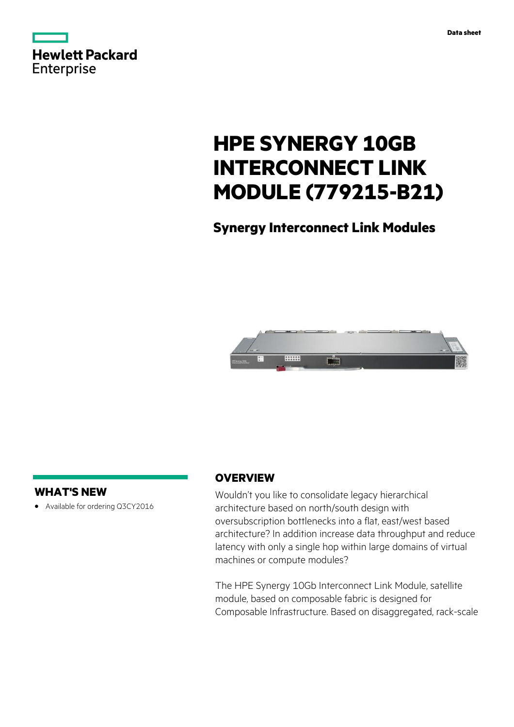

# **HPE SYNERGY 10GB INTERCONNECT LINK MODULE (779215-B21)**

# **Synergy Interconnect Link Modules**



# **WHAT'S NEW**

**·** Available for ordering Q3CY2016

# **OVERVIEW**

Wouldn't you like to consolidate legacy hierarchical architecture based on north/south design with oversubscription bottlenecks into a flat, east/west based architecture? In addition increase data throughput and reduce latency with only a single hop within large domains of virtual machines or compute modules?

The HPE Synergy 10Gb Interconnect Link Module, satellite module, based on composable fabric is designed for Composable Infrastructure. Based on disaggregated, rack-scale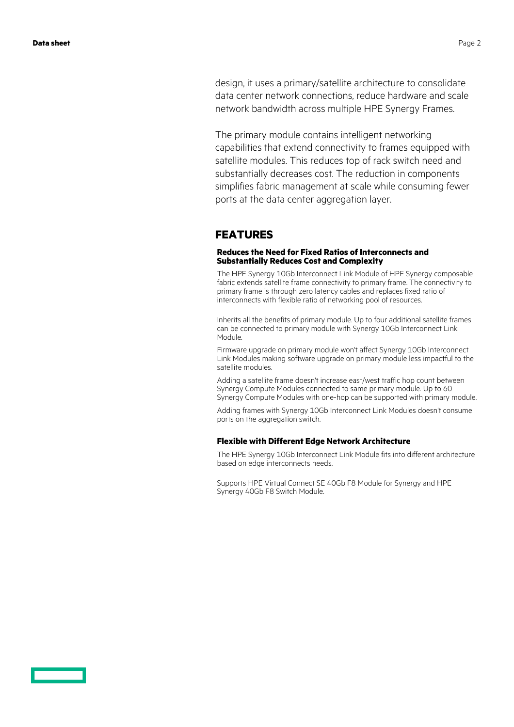design, it uses a primary/satellite architecture to consolidate data center network connections, reduce hardware and scale network bandwidth across multiple HPE Synergy Frames.

The primary module contains intelligent networking capabilities that extend connectivity to frames equipped with satellite modules. This reduces top of rack switch need and substantially decreases cost. The reduction in components simplifies fabric management at scale while consuming fewer ports at the data center aggregation layer.

### **FEATURES**

### **Reduces the Need for Fixed Ratios of Interconnects and Substantially Reduces Cost and Complexity**

The HPE Synergy 10Gb Interconnect Link Module of HPE Synergy composable fabric extends satellite frame connectivity to primary frame. The connectivity to primary frame is through zero latency cables and replaces fixed ratio of interconnects with flexible ratio of networking pool of resources.

Inherits all the benefits of primary module. Up to four additional satellite frames can be connected to primary module with Synergy 10Gb Interconnect Link Module.

Firmware upgrade on primary module won't affect Synergy 10Gb Interconnect Link Modules making software upgrade on primary module less impactful to the satellite modules.

Adding a satellite frame doesn't increase east/west traffic hop count between Synergy Compute Modules connected to same primary module. Up to 60 Synergy Compute Modules with one-hop can be supported with primary module.

Adding frames with Synergy 10Gb Interconnect Link Modules doesn't consume ports on the aggregation switch.

### **Flexible with Different Edge Network Architecture**

The HPE Synergy 10Gb Interconnect Link Module fits into different architecture based on edge interconnects needs.

Supports HPE Virtual Connect SE 40Gb F8 Module for Synergy and HPE Synergy 40Gb F8 Switch Module.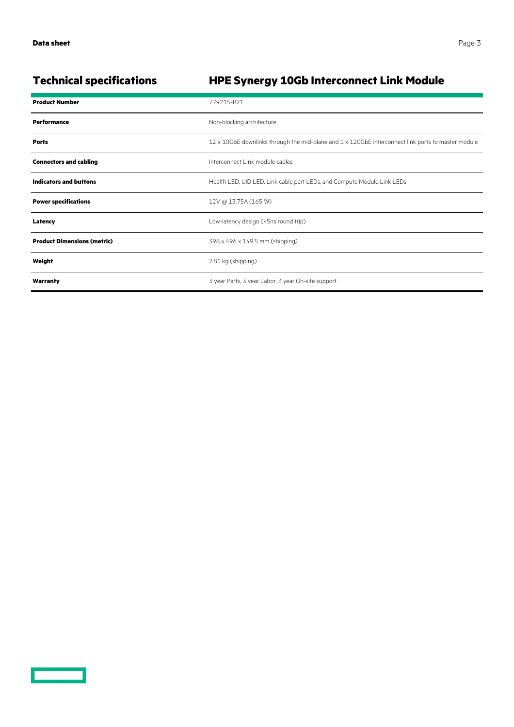**Contract Contract Contract Contract** 

# **Technical specifications HPE Synergy 10Gb Interconnect Link Module**

| <b>Product Number</b>              | 779215-B21                                                                                                         |
|------------------------------------|--------------------------------------------------------------------------------------------------------------------|
| <b>Performance</b>                 | Non-blocking architecture                                                                                          |
| <b>Ports</b>                       | $12 \times 10$ GbE downlinks through the mid-plane and $1 \times 120$ GbE interconnect link ports to master module |
| <b>Connectors and cabling</b>      | Interconnect Link module cables                                                                                    |
| <b>Indicators and buttons</b>      | Health LED, UID LED, Link cable part LEDs, and Compute Module Link LEDs                                            |
| <b>Power specifications</b>        | 12V @ 13.75A (165 W)                                                                                               |
| Latency                            | Low-latency design (<5ns round trip)                                                                               |
| <b>Product Dimensions (metric)</b> | 398 x 496 x 149.5 mm (shipping)                                                                                    |
| Weight                             | 2.81 kg (shipping)                                                                                                 |
| Warranty                           | 3 year Parts, 3 year Labor, 3 year On-site support                                                                 |